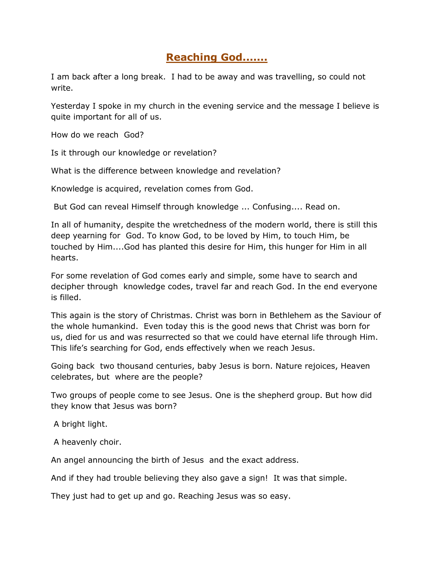## **Reaching God.......**

I am back after a long break. I had to be away and was travelling, so could not write.

Yesterday I spoke in my church in the evening service and the message I believe is quite important for all of us.

How do we reach God?

Is it through our knowledge or revelation?

What is the difference between knowledge and revelation?

Knowledge is acquired, revelation comes from God.

But God can reveal Himself through knowledge ... Confusing.... Read on.

In all of humanity, despite the wretchedness of the modern world, there is still this deep yearning for God. To know God, to be loved by Him, to touch Him, be touched by Him....God has planted this desire for Him, this hunger for Him in all hearts.

For some revelation of God comes early and simple, some have to search and decipher through knowledge codes, travel far and reach God. In the end everyone is filled.

This again is the story of Christmas. Christ was born in Bethlehem as the Saviour of the whole humankind. Even today this is the good news that Christ was born for us, died for us and was resurrected so that we could have eternal life through Him. This life's searching for God, ends effectively when we reach Jesus.

Going back two thousand centuries, baby Jesus is born. Nature rejoices, Heaven celebrates, but where are the people?

Two groups of people come to see Jesus. One is the shepherd group. But how did they know that Jesus was born?

A bright light.

A heavenly choir.

An angel announcing the birth of Jesus and the exact address.

And if they had trouble believing they also gave a sign! It was that simple.

They just had to get up and go. Reaching Jesus was so easy.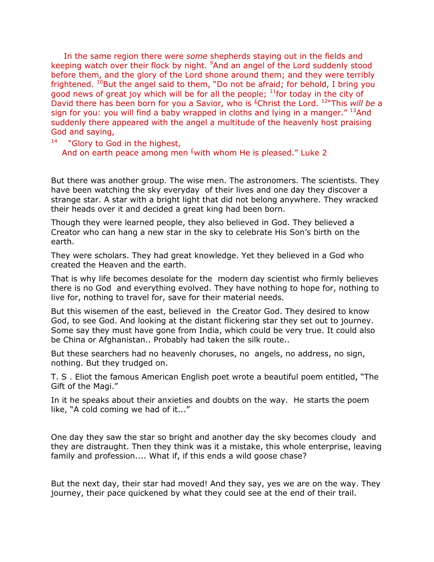In the same region there were *some* shepherds staying out in the fields and keeping watch over their flock by night. <sup>9</sup>And an angel of the Lord suddenly stood before them, and the glory of the Lord shone around them; and they were terribly frightened.  $^{10}$ But the angel said to them, "Do not be afraid; for behold, I bring you good news of great joy which will be for all the people;  $<sup>11</sup>$  for today in the city of</sup> David there has been born for you a Savior, who is <sup>[£](qv://steplinkto1%200000035477/)</sup>Christ the Lord. <sup>12</sup>"This *will be* a sign for you: you will find a baby wrapped in cloths and lying in a manger."  $^{13}$ And suddenly there appeared with the angel a multitude of the heavenly host praising God and saying,

14 "Glory to God in the highest, And on earth peace among men  $\frac{1}{2}$  with whom He is pleased." Luke 2

But there was another group. The wise men. The astronomers. The scientists. They have been watching the sky everyday of their lives and one day they discover a strange star. A star with a bright light that did not belong anywhere. They wracked their heads over it and decided a great king had been born.

Though they were learned people, they also believed in God. They believed a Creator who can hang a new star in the sky to celebrate His Son"s birth on the earth.

They were scholars. They had great knowledge. Yet they believed in a God who created the Heaven and the earth.

That is why life becomes desolate for the modern day scientist who firmly believes there is no God and everything evolved. They have nothing to hope for, nothing to live for, nothing to travel for, save for their material needs.

But this wisemen of the east, believed in the Creator God. They desired to know God, to see God. And looking at the distant flickering star they set out to journey. Some say they must have gone from India, which could be very true. It could also be China or Afghanistan.. Probably had taken the silk route..

But these searchers had no heavenly choruses, no angels, no address, no sign, nothing. But they trudged on.

T. S . Eliot the famous American English poet wrote a beautiful poem entitled, "The Gift of the Magi."

In it he speaks about their anxieties and doubts on the way. He starts the poem like, "A cold coming we had of it..."

One day they saw the star so bright and another day the sky becomes cloudy and they are distraught. Then they think was it a mistake, this whole enterprise, leaving family and profession.... What if, if this ends a wild goose chase?

But the next day, their star had moved! And they say, yes we are on the way. They journey, their pace quickened by what they could see at the end of their trail.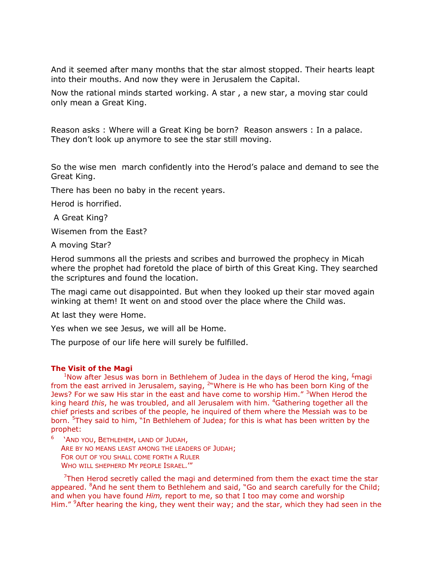And it seemed after many months that the star almost stopped. Their hearts leapt into their mouths. And now they were in Jerusalem the Capital.

Now the rational minds started working. A star , a new star, a moving star could only mean a Great King.

Reason asks : Where will a Great King be born? Reason answers : In a palace. They don't look up anymore to see the star still moving.

So the wise men march confidently into the Herod"s palace and demand to see the Great King.

There has been no baby in the recent years.

Herod is horrified.

A Great King?

Wisemen from the East?

A moving Star?

Herod summons all the priests and scribes and burrowed the prophecy in Micah where the prophet had foretold the place of birth of this Great King. They searched the scriptures and found the location.

The magi came out disappointed. But when they looked up their star moved again winking at them! It went on and stood over the place where the Child was.

At last they were Home.

Yes when we see Jesus, we will all be Home.

The purpose of our life here will surely be fulfilled.

## **The Visit of the Magi**

<sup>1</sup>Now after Jesus was born in Bethlehem of Judea in the days of Herod the king,  $\frac{1}{2}$ magi from the east arrived in Jerusalem, saying,  $2^m$ Where is He who has been born King of the Jews? For we saw His star in the east and have come to worship Him." <sup>3</sup>When Herod the king heard *this*, he was troubled, and all Jerusalem with him. <sup>4</sup>Gathering together all the chief priests and scribes of the people, he inquired of them where the Messiah was to be born. <sup>5</sup>They said to him, "In Bethlehem of Judea; for this is what has been written by the prophet:

6 "AND YOU, BETHLEHEM, LAND OF JUDAH, ARE BY NO MEANS LEAST AMONG THE LEADERS OF JUDAH; FOR OUT OF YOU SHALL COME FORTH A RULER WHO WILL SHEPHERD MY PEOPLE ISRAEL.""

 $7$ Then Herod secretly called the magi and determined from them the exact time the star appeared. <sup>8</sup>And he sent them to Bethlehem and said, "Go and search carefully for the Child; and when you have found *Him,* report to me, so that I too may come and worship Him." <sup>9</sup>After hearing the king, they went their way; and the star, which they had seen in the